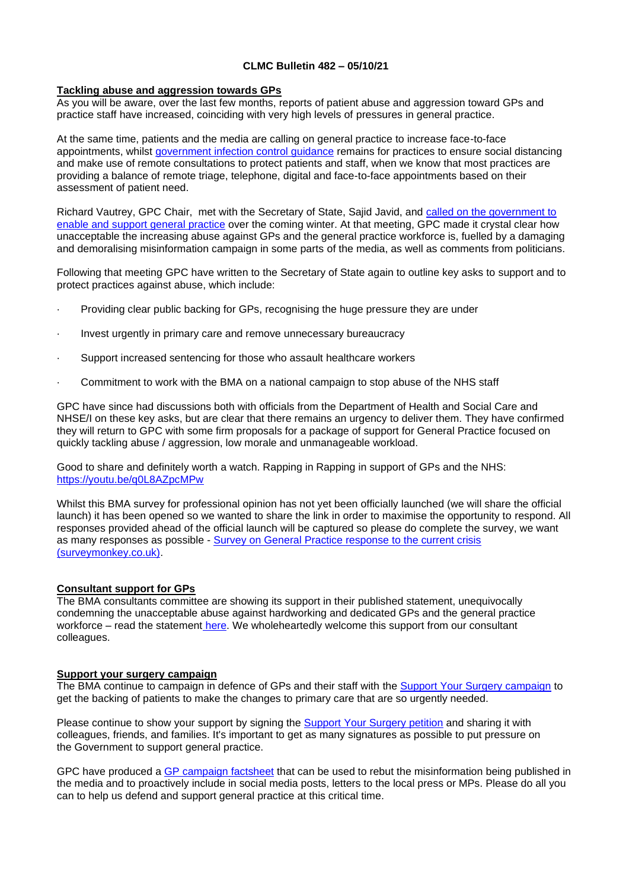## **CLMC Bulletin 482 – 05/10/21**

### **Tackling abuse and aggression towards GPs**

As you will be aware, over the last few months, reports of patient abuse and aggression toward GPs and practice staff have increased, coinciding with very high levels of pressures in general practice.

At the same time, patients and the media are calling on general practice to increase face-to-face appointments, whilst [government infection control guidance](https://www.gov.uk/government/publications/wuhan-novel-coronavirus-infection-prevention-and-control/covid-19-guidance-for-maintaining-services-within-health-and-care-settings-infection-prevention-and-control-recommendations) remains for practices to ensure social distancing and make use of remote consultations to protect patients and staff, when we know that most practices are providing a balance of remote triage, telephone, digital and face-to-face appointments based on their assessment of patient need.

Richard Vautrey, GPC Chair, met with the Secretary of State, Sajid Javid, and [called on the government to](https://www.bma.org.uk/bma-media-centre/bma-and-secretary-of-state-for-health-discuss-abuse-crisis-in-the-nhs-and-urgent-need-for-reduction-in-bureaucracy-for-gps)  [enable and support general practice](https://www.bma.org.uk/bma-media-centre/bma-and-secretary-of-state-for-health-discuss-abuse-crisis-in-the-nhs-and-urgent-need-for-reduction-in-bureaucracy-for-gps) over the coming winter. At that meeting, GPC made it crystal clear how unacceptable the increasing abuse against GPs and the general practice workforce is, fuelled by a damaging and demoralising misinformation campaign in some parts of the media, as well as comments from politicians.

Following that meeting GPC have written to the Secretary of State again to outline key asks to support and to protect practices against abuse, which include:

- Providing clear public backing for GPs, recognising the huge pressure they are under
- Invest urgently in primary care and remove unnecessary bureaucracy
- Support increased sentencing for those who assault healthcare workers
- Commitment to work with the BMA on a national campaign to stop abuse of the NHS staff

GPC have since had discussions both with officials from the Department of Health and Social Care and NHSE/I on these key asks, but are clear that there remains an urgency to deliver them. They have confirmed they will return to GPC with some firm proposals for a package of support for General Practice focused on quickly tackling abuse / aggression, low morale and unmanageable workload.

Good to share and definitely worth a watch. Rapping in Rapping in support of GPs and the NHS: <https://youtu.be/q0L8AZpcMPw>

Whilst this BMA survey for professional opinion has not yet been officially launched (we will share the official launch) it has been opened so we wanted to share the link in order to maximise the opportunity to respond. All responses provided ahead of the official launch will be captured so please do complete the survey, we want as many responses as possible - [Survey on General Practice response to the current crisis](https://www.surveymonkey.co.uk/r/BMA_GP)  [\(surveymonkey.co.uk\).](https://www.surveymonkey.co.uk/r/BMA_GP)

# **Consultant support for GPs**

The BMA consultants committee are showing its support in their published statement, unequivocally condemning the unacceptable abuse against hardworking and dedicated GPs and the general practice workforce – read the statement [here.](https://bma-mail.org.uk/t/JVX-7K588-EC5E0CEA0D8A5317JCJOU4BA186991484320BE/cr.aspx?utm_source=The%20British%20Medical%20Association&utm_medium=email&utm_campaign=12690578_GP%20ENEWSLETTER%20300921&utm_content=consultants%20newsletter&dm_t=0,0,0,0,0) We wholeheartedly welcome this support from our consultant colleagues.

### **Support your surgery campaign**

The BMA continue to campaign in defence of GPs and their staff with the [Support Your Surgery campaign](https://www.bma.org.uk/advice-and-support/covid-19/gp-practices/support-your-surgery) to get the backing of patients to make the changes to primary care that are so urgently needed.

Please continue to show your support by signing the [Support Your Surgery petition](https://e-activist.com/page/88027/petition/1) and sharing it with colleagues, friends, and families. It's important to get as many signatures as possible to put pressure on the Government to support general practice.

GPC have produced a [GP campaign factsheet](https://www.bma.org.uk/media/4643/bma-gp-campaign-factsheet-sept-2021.pdf) that can be used to rebut the misinformation being published in the media and to proactively include in social media posts, letters to the local press or MPs. Please do all you can to help us defend and support general practice at this critical time.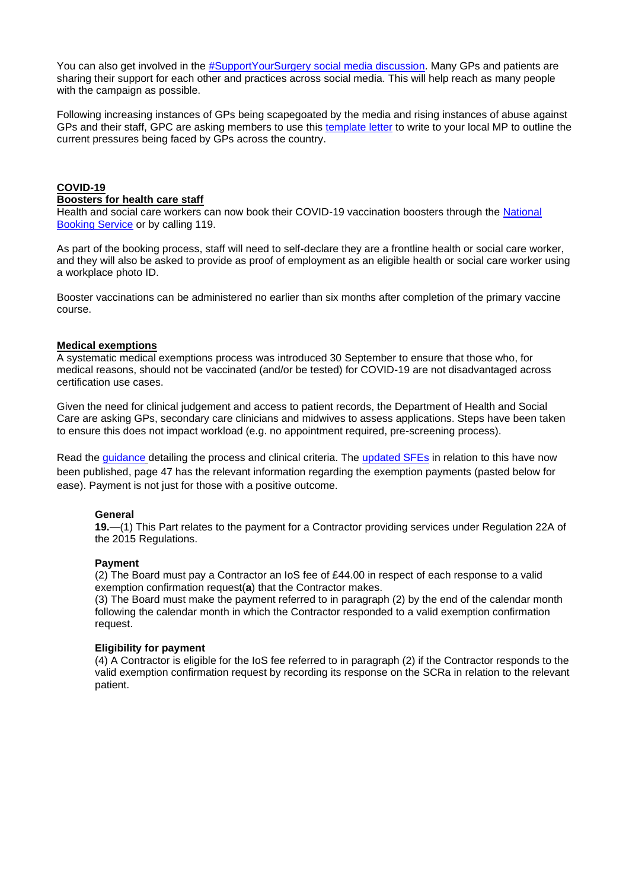You can also get involved in the [#SupportYourSurgery social media discussion.](https://twitter.com/hashtag/SupportYourSurgery?src=hashtag) Many GPs and patients are sharing their support for each other and practices across social media. This will help reach as many people with the campaign as possible.

Following increasing instances of GPs being scapegoated by the media and rising instances of abuse against GPs and their staff, GPC are asking members to use this [template letter](https://bma-mail.org.uk/t/JVX-7JQ76-JCJOU4-4KLUIY-1/c.aspx) to write to your local MP to outline the current pressures being faced by GPs across the country.

# **COVID-19**

#### **Boosters for health care staff**

Health and social care workers can now book their COVID-19 vaccination boosters through the [National](http://www.nhs.uk/conditions/coronavirus-covid-19/coronavirus-vaccination/book-coronavirus-vaccination)  [Booking Service](http://www.nhs.uk/conditions/coronavirus-covid-19/coronavirus-vaccination/book-coronavirus-vaccination) or by calling 119.

As part of the booking process, staff will need to self-declare they are a frontline health or social care worker, and they will also be asked to provide as proof of employment as an eligible health or social care worker using a workplace photo ID.

Booster vaccinations can be administered no earlier than six months after completion of the primary vaccine course.

### **Medical exemptions**

A systematic medical exemptions process was introduced 30 September to ensure that those who, for medical reasons, should not be vaccinated (and/or be tested) for COVID-19 are not disadvantaged across certification use cases.

Given the need for clinical judgement and access to patient records, the Department of Health and Social Care are asking GPs, secondary care clinicians and midwives to assess applications. Steps have been taken to ensure this does not impact workload (e.g. no appointment required, pre-screening process).

Read the [guidance](https://digital.nhs.uk/services/summary-care-record-application/covid-pass-medical-exemption) detailing the process and clinical criteria. The [updated SFEs](https://assets.publishing.service.gov.uk/government/uploads/system/uploads/attachment_data/file/1022913/general-medical-services-statement-of-financial-entitlements-no-2-directions-2021-oct.pdf) in relation to this have now been published, page 47 has the relevant information regarding the exemption payments (pasted below for ease). Payment is not just for those with a positive outcome.

# **General**

**19.**—(1) This Part relates to the payment for a Contractor providing services under Regulation 22A of the 2015 Regulations.

### **Payment**

(2) The Board must pay a Contractor an IoS fee of £44.00 in respect of each response to a valid exemption confirmation request(**a**) that the Contractor makes.

(3) The Board must make the payment referred to in paragraph (2) by the end of the calendar month following the calendar month in which the Contractor responded to a valid exemption confirmation request.

### **Eligibility for payment**

(4) A Contractor is eligible for the IoS fee referred to in paragraph (2) if the Contractor responds to the valid exemption confirmation request by recording its response on the SCRa in relation to the relevant patient.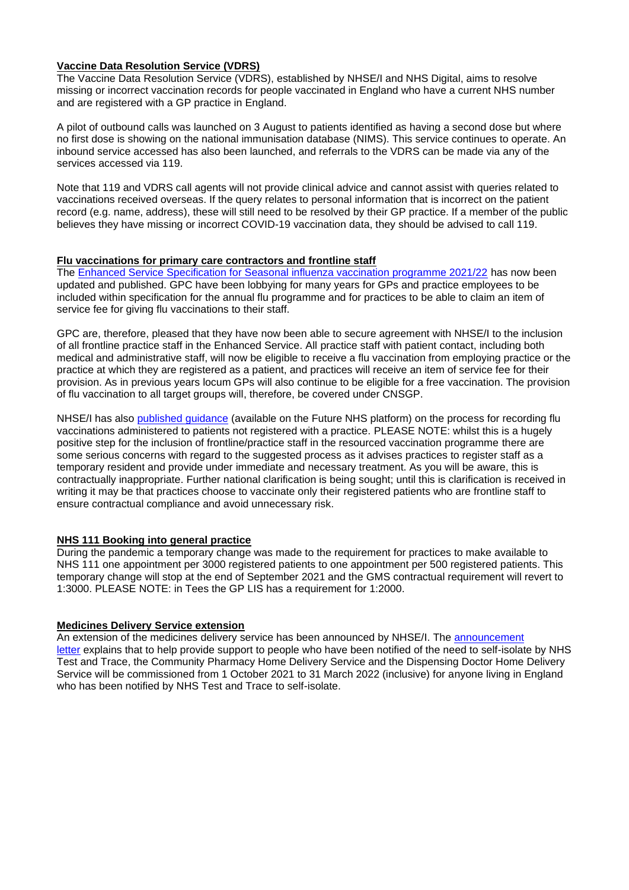## **Vaccine Data Resolution Service (VDRS)**

The Vaccine Data Resolution Service (VDRS), established by NHSE/I and NHS Digital, aims to resolve missing or incorrect vaccination records for people vaccinated in England who have a current NHS number and are registered with a GP practice in England.

A pilot of outbound calls was launched on 3 August to patients identified as having a second dose but where no first dose is showing on the national immunisation database (NIMS). This service continues to operate. An inbound service accessed has also been launched, and referrals to the VDRS can be made via any of the services accessed via 119.

Note that 119 and VDRS call agents will not provide clinical advice and cannot assist with queries related to vaccinations received overseas. If the query relates to personal information that is incorrect on the patient record (e.g. name, address), these will still need to be resolved by their GP practice. If a member of the public believes they have missing or incorrect COVID-19 vaccination data, they should be advised to call 119.

## **Flu vaccinations for primary care contractors and frontline staff**

The [Enhanced Service Specification for Seasonal influenza vaccination programme 2021/22](https://www.england.nhs.uk/publication/nhs-england-enhanced-services-influenza-specifications/) has now been updated and published. GPC have been lobbying for many years for GPs and practice employees to be included within specification for the annual flu programme and for practices to be able to claim an item of service fee for giving flu vaccinations to their staff.

GPC are, therefore, pleased that they have now been able to secure agreement with NHSE/I to the inclusion of all frontline practice staff in the Enhanced Service. All practice staff with patient contact, including both medical and administrative staff, will now be eligible to receive a flu vaccination from employing practice or the practice at which they are registered as a patient, and practices will receive an item of service fee for their provision. As in previous years locum GPs will also continue to be eligible for a free vaccination. The provision of flu vaccination to all target groups will, therefore, be covered under CNSGP.

NHSE/I has also [published guidance](https://future.nhs.uk/connect.ti/P_C_N/view?objectId=113626437) (available on the Future NHS platform) on the process for recording flu vaccinations administered to patients not registered with a practice. PLEASE NOTE: whilst this is a hugely positive step for the inclusion of frontline/practice staff in the resourced vaccination programme there are some serious concerns with regard to the suggested process as it advises practices to register staff as a temporary resident and provide under immediate and necessary treatment. As you will be aware, this is contractually inappropriate. Further national clarification is being sought; until this is clarification is received in writing it may be that practices choose to vaccinate only their registered patients who are frontline staff to ensure contractual compliance and avoid unnecessary risk.

# **NHS 111 Booking into general practice**

During the pandemic a temporary change was made to the requirement for practices to make available to NHS 111 one appointment per 3000 registered patients to one appointment per 500 registered patients. This temporary change will stop at the end of September 2021 and the GMS contractual requirement will revert to 1:3000. PLEASE NOTE: in Tees the GP LIS has a requirement for 1:2000.

### **Medicines Delivery Service extension**

An extension of the medicines delivery service has been announced by NHSE/I. The [announcement](https://www.england.nhs.uk/coronavirus/wp-content/uploads/sites/52/2020/03/Medicines-delivery-service-announcement-September-2021.pdf)  [letter](https://www.england.nhs.uk/coronavirus/wp-content/uploads/sites/52/2020/03/Medicines-delivery-service-announcement-September-2021.pdf) explains that to help provide support to people who have been notified of the need to self-isolate by NHS Test and Trace, the Community Pharmacy Home Delivery Service and the Dispensing Doctor Home Delivery Service will be commissioned from 1 October 2021 to 31 March 2022 (inclusive) for anyone living in England who has been notified by NHS Test and Trace to self-isolate.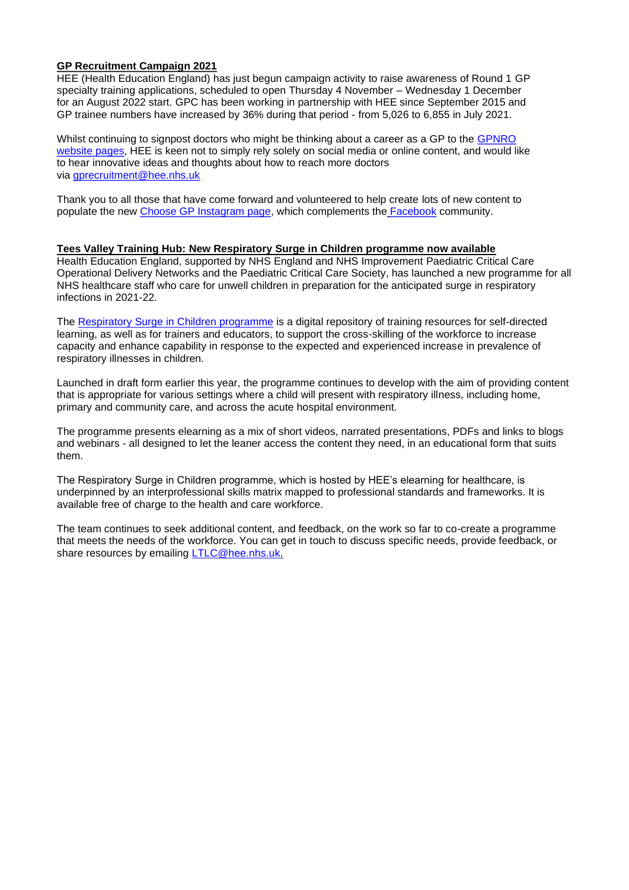# **GP Recruitment Campaign 2021**

HEE (Health Education England) has just begun campaign activity to raise awareness of Round 1 GP specialty training applications, scheduled to open Thursday 4 November – Wednesday 1 December for an August 2022 start. GPC has been working in partnership with HEE since September 2015 and GP trainee numbers have increased by 36% during that period - from 5,026 to 6,855 in July 2021.

Whilst continuing to signpost doctors who might be thinking about a career as a GP to the GPNRO website pages, HEE is keen not to simply rely solely on social media or online content, and would like to hear innovative ideas and thoughts about how to reach more doctors via gprecruitment@hee.nhs.uk

Thank you to all those that have come forward and volunteered to help create lots of new content to populate the new Choose GP Instagram page, which complements the **Facebook** community.

### **Tees Valley Training Hub: New Respiratory Surge in Children programme now available**

Health Education England, supported by NHS England and NHS Improvement Paediatric Critical Care Operational Delivery Networks and the Paediatric Critical Care Society, has launched a new programme for all NHS healthcare staff who care for unwell children in preparation for the anticipated surge in respiratory infections in 2021-22.

The [Respiratory Surge in Children programme](https://www.e-lfh.org.uk/programmes/respiratory_surge_in_children/) is a digital repository of training resources for self-directed learning, as well as for trainers and educators, to support the cross-skilling of the workforce to increase capacity and enhance capability in response to the expected and experienced increase in prevalence of respiratory illnesses in children.

Launched in draft form earlier this year, the programme continues to develop with the aim of providing content that is appropriate for various settings where a child will present with respiratory illness, including home, primary and community care, and across the acute hospital environment.

The programme presents elearning as a mix of short videos, narrated presentations, PDFs and links to blogs and webinars - all designed to let the leaner access the content they need, in an educational form that suits them.

The Respiratory Surge in Children programme, which is hosted by HEE's elearning for healthcare, is underpinned by an interprofessional skills matrix mapped to professional standards and frameworks. It is available free of charge to the health and care workforce.

The team continues to seek additional content, and feedback, on the work so far to co-create a programme that meets the needs of the workforce. You can get in touch to discuss specific needs, provide feedback, or share resources by emailing [LTLC@hee.nhs.uk.](mailto:LTLC@hee.nhs.uk)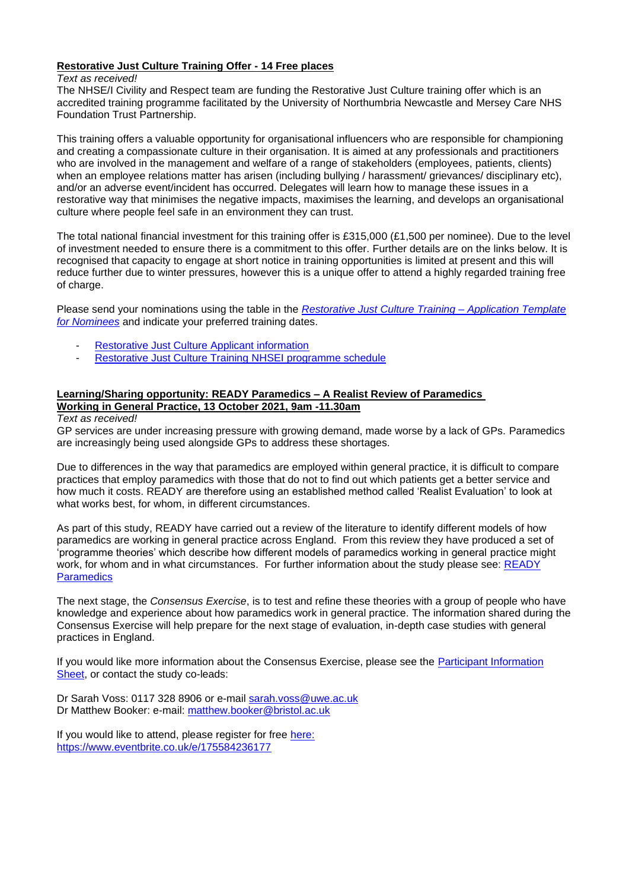# **Restorative Just Culture Training Offer - 14 Free places**

### *Text as received!*

The NHSE/I Civility and Respect team are funding the Restorative Just Culture training offer which is an accredited training programme facilitated by the University of Northumbria Newcastle and Mersey Care NHS Foundation Trust Partnership.

This training offers a valuable opportunity for organisational influencers who are responsible for championing and creating a compassionate culture in their organisation. It is aimed at any professionals and practitioners who are involved in the management and welfare of a range of stakeholders (employees, patients, clients) when an employee relations matter has arisen (including bullying / harassment/ grievances/ disciplinary etc), and/or an adverse event/incident has occurred. Delegates will learn how to manage these issues in a restorative way that minimises the negative impacts, maximises the learning, and develops an organisational culture where people feel safe in an environment they can trust.

The total national financial investment for this training offer is £315,000 (£1,500 per nominee). Due to the level of investment needed to ensure there is a commitment to this offer. Further details are on the links below. It is recognised that capacity to engage at short notice in training opportunities is limited at present and this will reduce further due to winter pressures, however this is a unique offer to attend a highly regarded training free of charge.

Please send your nominations using the table in the *[Restorative Just Culture Training –](https://www.clevelandlmc.org.uk/website/IGP367/files/Accredited%20Restorative%20Just%20Culture%20Training%20Programme.docx) Application Template [for Nominees](https://www.clevelandlmc.org.uk/website/IGP367/files/Accredited%20Restorative%20Just%20Culture%20Training%20Programme.docx)* and indicate your preferred training dates.

- [Restorative Just Culture Applicant information](https://www.clevelandlmc.org.uk/website/IGP367/files/2.pdf)
- [Restorative Just Culture Training](https://www.clevelandlmc.org.uk/website/IGP367/files/3.pdf) NHSEI programme schedule

#### **Learning/Sharing opportunity: READY Paramedics – A Realist Review of Paramedics Working in General Practice, 13 October 2021, 9am -11.30am**

*Text as received!*

GP services are under increasing pressure with growing demand, made worse by a lack of GPs. Paramedics are increasingly being used alongside GPs to address these shortages.

Due to differences in the way that paramedics are employed within general practice, it is difficult to compare practices that employ paramedics with those that do not to find out which patients get a better service and how much it costs. READY are therefore using an established method called 'Realist Evaluation' to look at what works best, for whom, in different circumstances.

As part of this study, READY have carried out a review of the literature to identify different models of how paramedics are working in general practice across England. From this review they have produced a set of 'programme theories' which describe how different models of paramedics working in general practice might work, for whom and in what circumstances. For further information about the study please see: [READY](https://eur01.safelinks.protection.outlook.com/?url=http%3A%2F%2Fwww.bristolhealthpartners.org.uk%2Freach%2Fcurrent-projects%2Fresearch-and-service-delivery%2Frealist-evaluation-paramedics-in-general-practice-ready-paramedics%2F&data=04%7C01%7CReadyParamedics%40uwe.ac.uk%7Cc1f994bd98f742bbe3c608d97dd6d7d6%7C07ef1208413c4b5e9cdd64ef305754f0%7C0%7C0%7C637679183953375839%7CUnknown%7CTWFpbGZsb3d8eyJWIjoiMC4wLjAwMDAiLCJQIjoiV2luMzIiLCJBTiI6Ik1haWwiLCJXVCI6Mn0%3D%7C1000&sdata=3sCZrFZPTz3XLNAOK4rUcEEEwLUjZsfEKeFuILBQrQ4%3D&reserved=0)  **[Paramedics](https://eur01.safelinks.protection.outlook.com/?url=http%3A%2F%2Fwww.bristolhealthpartners.org.uk%2Freach%2Fcurrent-projects%2Fresearch-and-service-delivery%2Frealist-evaluation-paramedics-in-general-practice-ready-paramedics%2F&data=04%7C01%7CReadyParamedics%40uwe.ac.uk%7Cc1f994bd98f742bbe3c608d97dd6d7d6%7C07ef1208413c4b5e9cdd64ef305754f0%7C0%7C0%7C637679183953375839%7CUnknown%7CTWFpbGZsb3d8eyJWIjoiMC4wLjAwMDAiLCJQIjoiV2luMzIiLCJBTiI6Ik1haWwiLCJXVCI6Mn0%3D%7C1000&sdata=3sCZrFZPTz3XLNAOK4rUcEEEwLUjZsfEKeFuILBQrQ4%3D&reserved=0)** 

The next stage, the *Consensus Exercise*, is to test and refine these theories with a group of people who have knowledge and experience about how paramedics work in general practice. The information shared during the Consensus Exercise will help prepare for the next stage of evaluation, in-depth case studies with general practices in England.

If you would like more information about the Consensus Exercise, please see the **Participant Information** [Sheet,](https://www.clevelandlmc.org.uk/website/IGP367/files/4.pdf) or contact the study co-leads:

Dr Sarah Voss: 0117 328 8906 or e-mail [sarah.voss@uwe.ac.uk](mailto:sarah.voss@uwe.ac.uk) Dr Matthew Booker: e-mail: [matthew.booker@bristol.ac.uk](about:blank)

If you would like to attend, please register for free [here:](https://eur01.safelinks.protection.outlook.com/?url=https%3A%2F%2Fwww.eventbrite.co.uk%2Fe%2F175584236177&data=04%7C01%7CReadyParamedics%40uwe.ac.uk%7Cc1f994bd98f742bbe3c608d97dd6d7d6%7C07ef1208413c4b5e9cdd64ef305754f0%7C0%7C0%7C637679183953385794%7CUnknown%7CTWFpbGZsb3d8eyJWIjoiMC4wLjAwMDAiLCJQIjoiV2luMzIiLCJBTiI6Ik1haWwiLCJXVCI6Mn0%3D%7C1000&sdata=npyoPbtdGOKBzHl7Tun1dlM9dfCrwXwWetPodz3p28o%3D&reserved=0) [https://www.eventbrite.co.uk/e/175584236177](https://eur01.safelinks.protection.outlook.com/?url=https%3A%2F%2Fwww.eventbrite.co.uk%2Fe%2F175584236177&data=04%7C01%7CReadyParamedics%40uwe.ac.uk%7Cc1f994bd98f742bbe3c608d97dd6d7d6%7C07ef1208413c4b5e9cdd64ef305754f0%7C0%7C0%7C637679183953385794%7CUnknown%7CTWFpbGZsb3d8eyJWIjoiMC4wLjAwMDAiLCJQIjoiV2luMzIiLCJBTiI6Ik1haWwiLCJXVCI6Mn0%3D%7C1000&sdata=npyoPbtdGOKBzHl7Tun1dlM9dfCrwXwWetPodz3p28o%3D&reserved=0)